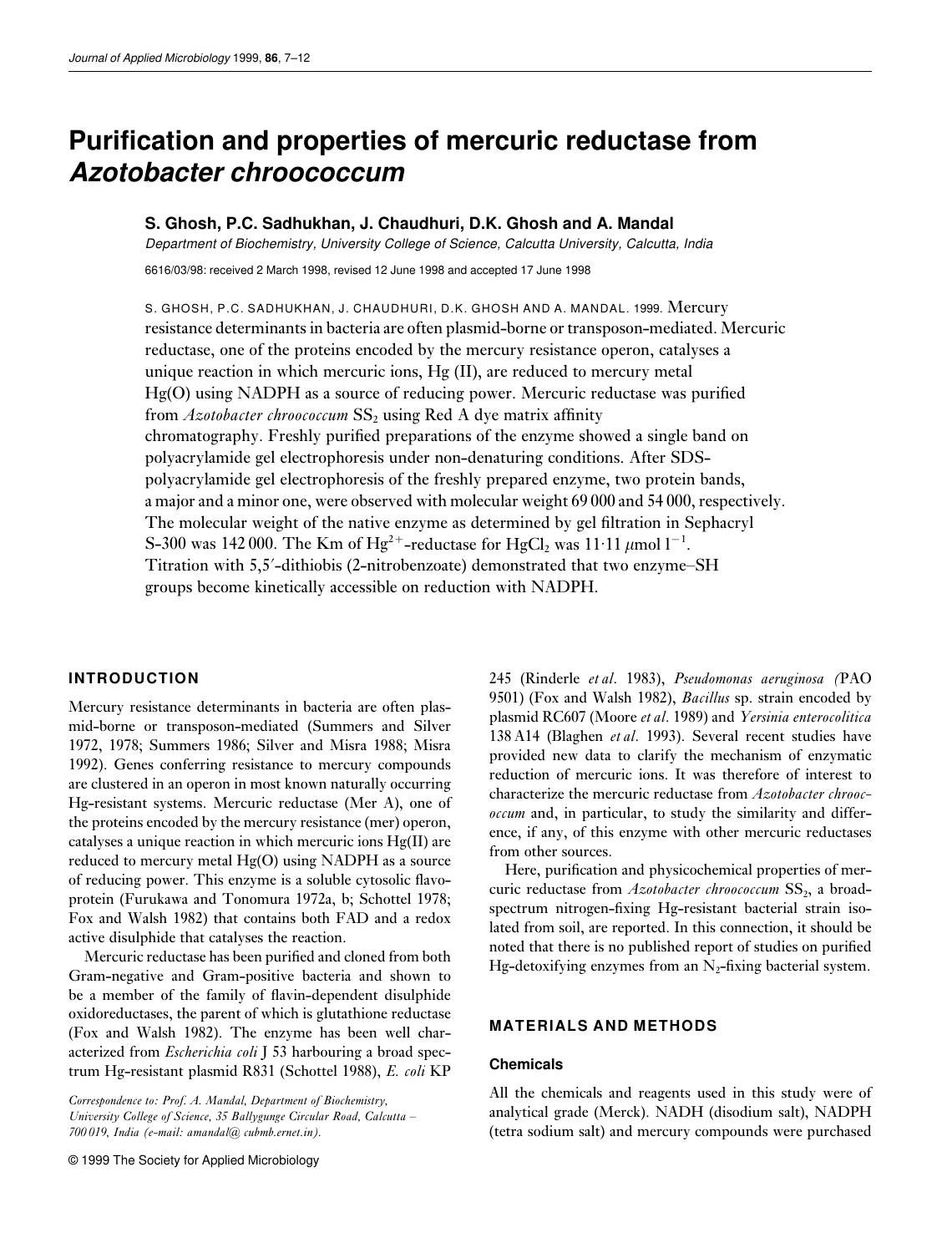# **Purification and properties of mercuric reductase from Azotobacter chroococcum**

## **S. Ghosh, P.C. Sadhukhan, J. Chaudhuri, D.K. Ghosh and A. Mandal**

Department of Biochemistry, University College of Science, Calcutta University, Calcutta, India

6616/03/98: received 2 March 1998, revised 12 June 1998 and accepted 17 June 1998

S. GHOSH, P.C. SADHUKHAN, J. CHAUDHURI, D.K. GHOSH AND A. MANDAL. 1999. Mercury resistance determinants in bacteria are often plasmid-borne or transposon-mediated. Mercuric reductase, one of the proteins encoded by the mercury resistance operon, catalyses a unique reaction in which mercuric ions, Hg (II), are reduced to mercury metal Hg(O) using NADPH as a source of reducing power. Mercuric reductase was purified from *Azotobacter chroococcum* SS<sub>2</sub> using Red A dye matrix affinity chromatography. Freshly purified preparations of the enzyme showed a single band on polyacrylamide gel electrophoresis under non-denaturing conditions. After SDSpolyacrylamide gel electrophoresis of the freshly prepared enzyme, two protein bands, a major and a minor one, were observed with molecular weight 69 000 and 54 000, respectively. The molecular weight of the native enzyme as determined by gel filtration in Sephacryl S-300 was 142 000. The Km of Hg<sup>2+</sup>-reductase for HgCl<sub>2</sub> was 11·11  $\mu$ mol l<sup>-1</sup>. Titration with 5,5?-dithiobis (2-nitrobenzoate) demonstrated that two enzyme–SH groups become kinetically accessible on reduction with NADPH.

## **INTRODUCTION**

Mercury resistance determinants in bacteria are often plasmid-borne or transposon-mediated (Summers and Silver 1972, 1978; Summers 1986; Silver and Misra 1988; Misra 1992). Genes conferring resistance to mercury compounds are clustered in an operon in most known naturally occurring Hg-resistant systems. Mercuric reductase (Mer A), one of the proteins encoded by the mercury resistance (mer) operon, catalyses a unique reaction in which mercuric ions Hg(II) are reduced to mercury metal Hg(O) using NADPH as a source of reducing power. This enzyme is a soluble cytosolic flavoprotein (Furukawa and Tonomura 1972a, b; Schottel 1978; Fox and Walsh 1982) that contains both FAD and a redox active disulphide that catalyses the reaction.

Mercuric reductase has been purified and cloned from both Gram-negative and Gram-positive bacteria and shown to be a member of the family of flavin-dependent disulphide oxidoreductases, the parent of which is glutathione reductase (Fox and Walsh 1982). The enzyme has been well characterized from *Escherichia coli* J 53 harbouring a broad spectrum Hg-resistant plasmid R831 (Schottel 1988), *E. coli* KP

*Correspondence to: Prof. A. Mandal, Department of Biochemistry, University College of Science, 35 Ballygunge Circular Road, Calcutta – 700 019, India (e-mail: amandal@ cubmb.ernet.in).*

© 1999 The Society for Applied Microbiology

245 (Rinderle *et al*. 1983), *Pseudomonas aeruginosa (*PAO 9501) (Fox and Walsh 1982), *Bacillus* sp. strain encoded by plasmid RC607 (Moore *et al*. 1989) and *Yersinia enterocolitica* 138 A14 (Blaghen *et al*. 1993). Several recent studies have provided new data to clarify the mechanism of enzymatic reduction of mercuric ions. It was therefore of interest to characterize the mercuric reductase from *Azotobacter chroococcum* and, in particular, to study the similarity and difference, if any, of this enzyme with other mercuric reductases from other sources.

Here, purification and physicochemical properties of mercuric reductase from *Azotobacter chroococcum* SS<sub>2</sub>, a broadspectrum nitrogen-fixing Hg-resistant bacterial strain isolated from soil, are reported. In this connection, it should be noted that there is no published report of studies on purified Hg-detoxifying enzymes from an  $N_2$ -fixing bacterial system.

## **MATERIALS AND METHODS**

#### **Chemicals**

All the chemicals and reagents used in this study were of analytical grade (Merck). NADH (disodium salt), NADPH (tetra sodium salt) and mercury compounds were purchased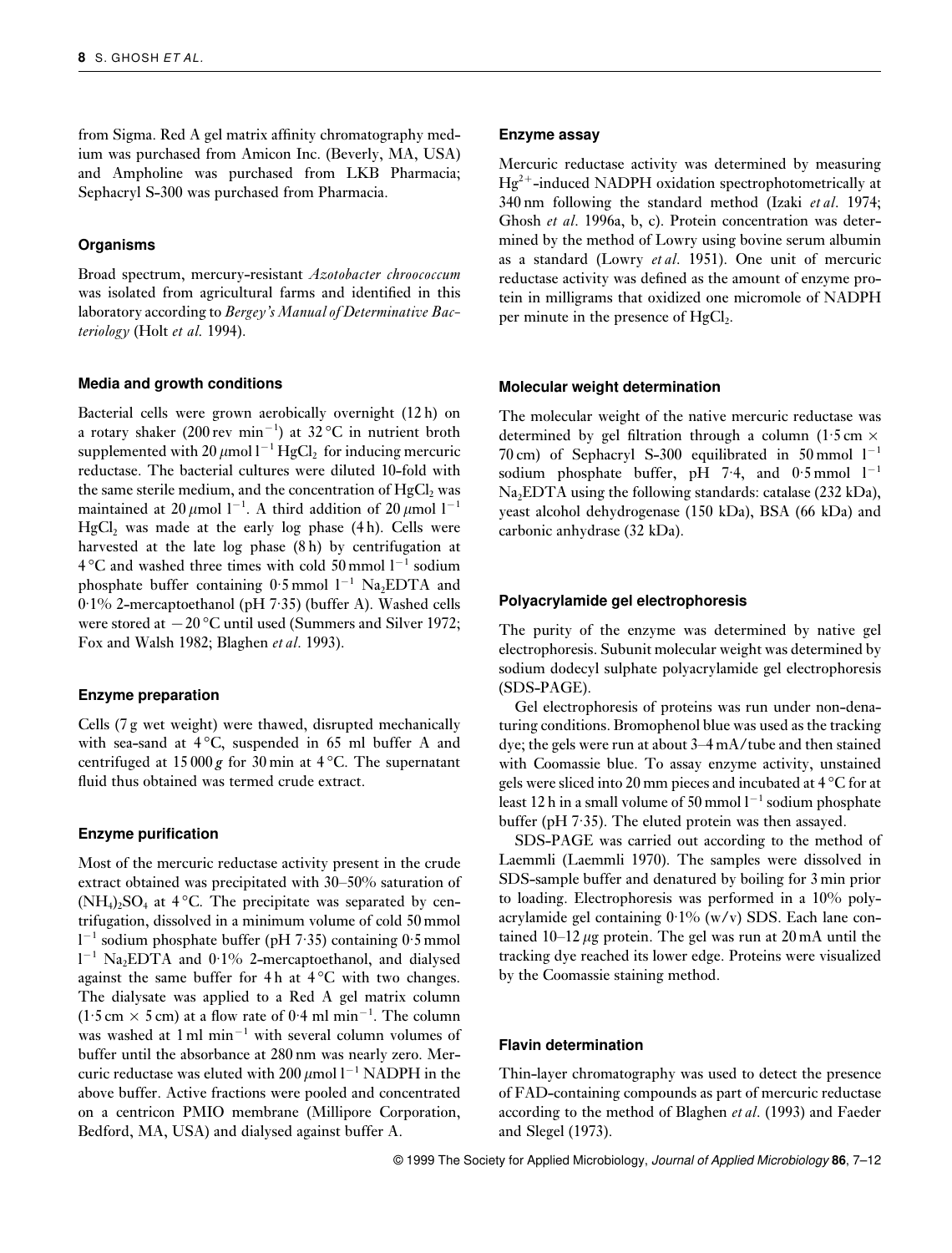from Sigma. Red A gel matrix affinity chromatography medium was purchased from Amicon Inc. (Beverly, MA, USA) and Ampholine was purchased from LKB Pharmacia; Sephacryl S-300 was purchased from Pharmacia.

## **Organisms**

Broad spectrum, mercury-resistant *Azotobacter chroococcum* was isolated from agricultural farms and identified in this laboratory according to *Bergey's Manual of Determinative Bacteriology* (Holt *et al.* 1994).

## **Media and growth conditions**

Bacterial cells were grown aerobically overnight (12 h) on a rotary shaker (200 rev min<sup>−</sup><sup>1</sup> ) at 32 °C in nutrient broth supplemented with 20  $\mu$ mol l<sup>-1</sup> HgCl<sub>2</sub> for inducing mercuric reductase. The bacterial cultures were diluted 10-fold with the same sterile medium, and the concentration of  $HgCl<sub>2</sub>$  was maintained at 20  $\mu$ mol l<sup>-1</sup>. A third addition of 20  $\mu$ mol l<sup>-1</sup> HgCl<sub>2</sub> was made at the early log phase  $(4 h)$ . Cells were harvested at the late log phase  $(8 h)$  by centrifugation at 4 °C and washed three times with cold 50 mmol l<sup>−</sup><sup>1</sup> sodium phosphate buffer containing  $0.5$  mmol  $1^{-1}$  Na<sub>2</sub>EDTA and 0·1% 2-mercaptoethanol (pH 7·35) (buffer A). Washed cells were stored at  $-20$  °C until used (Summers and Silver 1972; Fox and Walsh 1982; Blaghen *et al*. 1993).

#### **Enzyme preparation**

Cells (7 g wet weight) were thawed, disrupted mechanically with sea-sand at  $4^{\circ}$ C, suspended in 65 ml buffer A and centrifuged at  $15000 g$  for 30 min at  $4^{\circ}$ C. The supernatant fluid thus obtained was termed crude extract.

#### **Enzyme purification**

Most of the mercuric reductase activity present in the crude extract obtained was precipitated with 30–50% saturation of  $(NH<sub>4</sub>)<sub>2</sub>SO<sub>4</sub>$  at 4 °C. The precipitate was separated by centrifugation, dissolved in a minimum volume of cold 50 mmol l −1 sodium phosphate buffer (pH 7·35) containing 0·5 mmol l <sup>−</sup><sup>1</sup> Na2EDTA and 0·1% 2-mercaptoethanol, and dialysed against the same buffer for  $4 h$  at  $4^{\circ}$ C with two changes. The dialysate was applied to a Red A gel matrix column  $(1.5 \text{ cm} \times 5 \text{ cm})$  at a flow rate of 0.4 ml min<sup>-1</sup>. The column was washed at 1 ml min<sup>−</sup><sup>1</sup> with several column volumes of buffer until the absorbance at 280 nm was nearly zero. Mercuric reductase was eluted with 200  $\mu$ mol l<sup>-1</sup> NADPH in the above buffer. Active fractions were pooled and concentrated on a centricon PMIO membrane (Millipore Corporation, Bedford, MA, USA) and dialysed against buffer A.

#### **Enzyme assay**

Mercuric reductase activity was determined by measuring  $Hg^{2+}$ -induced NADPH oxidation spectrophotometrically at 340 nm following the standard method (Izaki *et al*. 1974; Ghosh *et al*. 1996a, b, c). Protein concentration was determined by the method of Lowry using bovine serum albumin as a standard (Lowry *et al*. 1951). One unit of mercuric reductase activity was defined as the amount of enzyme protein in milligrams that oxidized one micromole of NADPH per minute in the presence of  $HgCl<sub>2</sub>$ .

#### **Molecular weight determination**

The molecular weight of the native mercuric reductase was determined by gel filtration through a column (1.5 cm  $\times$ 70 cm) of Sephacryl S-300 equilibrated in 50 mmol  $1^{-1}$ sodium phosphate buffer, pH 7·4, and  $0.5$  mmol  $1^{-1}$  $Na<sub>2</sub>EDTA using the following standards: catalase (232 kDa),$ yeast alcohol dehydrogenase (150 kDa), BSA (66 kDa) and carbonic anhydrase (32 kDa).

#### **Polyacrylamide gel electrophoresis**

The purity of the enzyme was determined by native gel electrophoresis. Subunit molecular weight was determined by sodium dodecyl sulphate polyacrylamide gel electrophoresis (SDS-PAGE).

Gel electrophoresis of proteins was run under non-denaturing conditions. Bromophenol blue was used as the tracking dye; the gels were run at about 3–4 mA/tube and then stained with Coomassie blue. To assay enzyme activity, unstained gels were sliced into 20 mm pieces and incubated at 4 °C for at least 12 h in a small volume of 50 mmol  $1^{-1}$  sodium phosphate buffer (pH 7·35). The eluted protein was then assayed.

SDS-PAGE was carried out according to the method of Laemmli (Laemmli 1970). The samples were dissolved in SDS-sample buffer and denatured by boiling for 3 min prior to loading. Electrophoresis was performed in a 10% polyacrylamide gel containing  $0.1\%$  (w/v) SDS. Each lane contained  $10-12 \mu$ g protein. The gel was run at  $20 \text{ mA}$  until the tracking dye reached its lower edge. Proteins were visualized by the Coomassie staining method.

## **Flavin determination**

Thin-layer chromatography was used to detect the presence of FAD-containing compounds as part of mercuric reductase according to the method of Blaghen *et al*. (1993) and Faeder and Slegel (1973).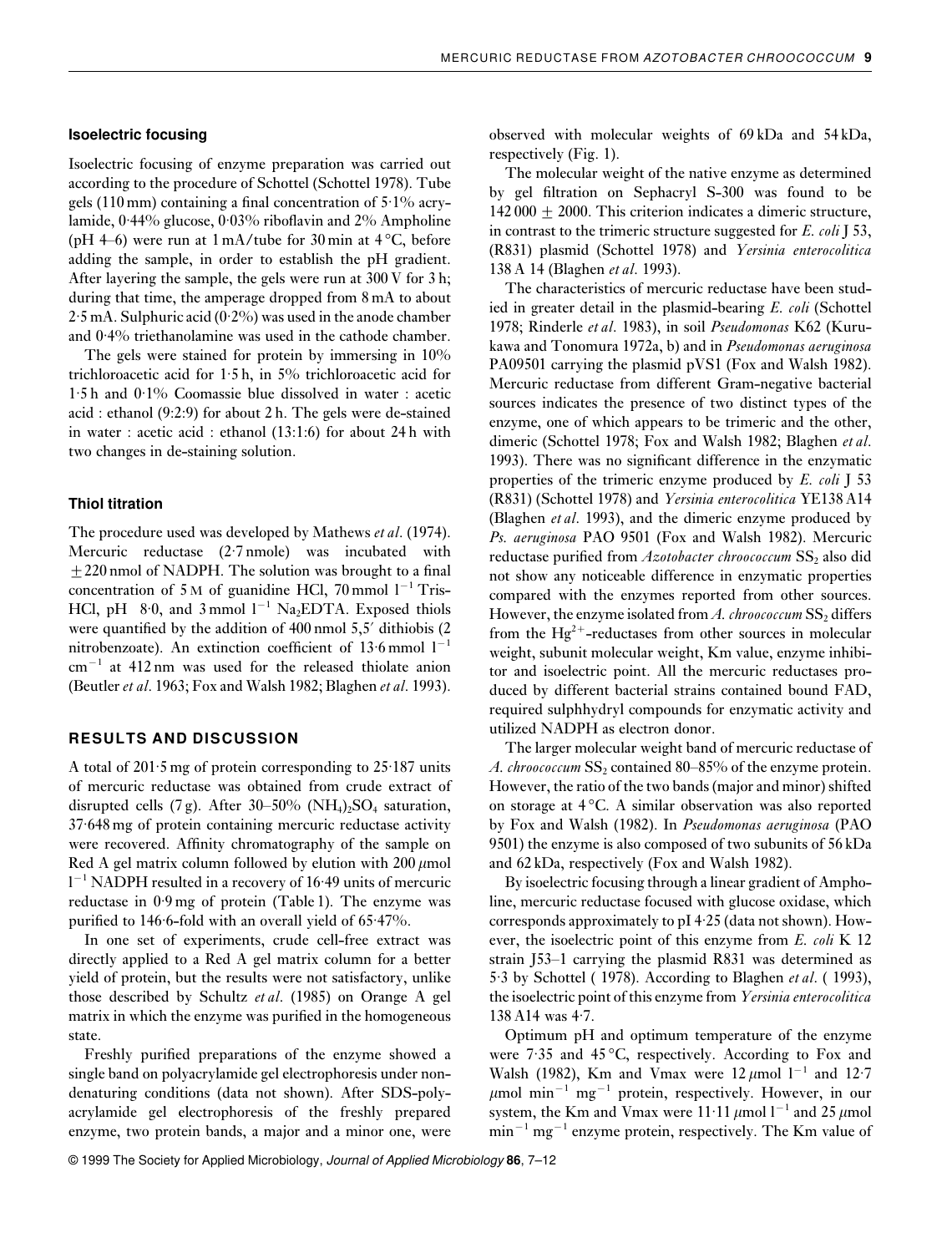## **Isoelectric focusing**

Isoelectric focusing of enzyme preparation was carried out according to the procedure of Schottel (Schottel 1978). Tube gels (110 mm) containing a final concentration of  $5.1\%$  acrylamide, 0·44% glucose, 0·03% riboflavin and 2% Ampholine (pH 4–6) were run at  $1 \text{ mA/tube}$  for 30 min at 4 °C, before adding the sample, in order to establish the pH gradient. After layering the sample, the gels were run at 300 V for 3 h; during that time, the amperage dropped from 8 mA to about  $2.5 \text{ mA}$ . Sulphuric acid (0.2%) was used in the anode chamber and 0·4% triethanolamine was used in the cathode chamber.

The gels were stained for protein by immersing in 10% trichloroacetic acid for  $1.5h$ , in  $5%$  trichloroacetic acid for 1·5 h and 0·1% Coomassie blue dissolved in water : acetic acid : ethanol (9:2:9) for about 2 h. The gels were de-stained in water : acetic acid : ethanol (13:1:6) for about 24 h with two changes in de-staining solution.

## **Thiol titration**

The procedure used was developed by Mathews *et al*. (1974). Mercuric reductase (2·7 nmole) was incubated with  $\pm$  220 nmol of NADPH. The solution was brought to a final concentration of 5 M of guanidine HCl, 70 mmol  $1^{-1}$  Tris-HCl, pH 8·0, and 3 mmol  $l^{-1}$  Na<sub>2</sub>EDTA. Exposed thiols were quantified by the addition of 400 nmol 5,5' dithiobis (2) nitrobenzoate). An extinction coefficient of  $13·6$  mmol  $1^{-1}$ cm<sup>−</sup><sup>1</sup> at 412 nm was used for the released thiolate anion (Beutler *et al*. 1963; Fox and Walsh 1982; Blaghen *et al*. 1993).

#### **RESULTS AND DISCUSSION**

A total of 201·5 mg of protein corresponding to 25·187 units of mercuric reductase was obtained from crude extract of disrupted cells (7 g). After 30–50% (NH<sub>4</sub>)<sub>2</sub>SO<sub>4</sub> saturation, 37·648 mg of protein containing mercuric reductase activity were recovered. Affinity chromatography of the sample on Red A gel matrix column followed by elution with  $200 \mu$ mol l <sup>−</sup><sup>1</sup> NADPH resulted in a recovery of 16·49 units of mercuric reductase in 0·9 mg of protein (Table 1). The enzyme was purified to 146·6-fold with an overall yield of 65·47%.

In one set of experiments, crude cell-free extract was directly applied to a Red A gel matrix column for a better yield of protein, but the results were not satisfactory, unlike those described by Schultz *et al*. (1985) on Orange A gel matrix in which the enzyme was purified in the homogeneous state.

Freshly purified preparations of the enzyme showed a single band on polyacrylamide gel electrophoresis under nondenaturing conditions (data not shown). After SDS-polyacrylamide gel electrophoresis of the freshly prepared enzyme, two protein bands, a major and a minor one, were observed with molecular weights of 69 kDa and 54 kDa, respectively (Fig. 1).

The molecular weight of the native enzyme as determined by gel filtration on Sephacryl S-300 was found to be  $142\,000 + 2000$ . This criterion indicates a dimeric structure, in contrast to the trimeric structure suggested for *E. coli* J 53, (R831) plasmid (Schottel 1978) and *Yersinia enterocolitica* 138 A 14 (Blaghen *et al*. 1993).

The characteristics of mercuric reductase have been studied in greater detail in the plasmid-bearing *E. coli* (Schottel 1978; Rinderle *et al*. 1983), in soil *Pseudomonas* K62 (Kurukawa and Tonomura 1972a, b) and in *Pseudomonas aeruginosa* PA09501 carrying the plasmid pVS1 (Fox and Walsh 1982). Mercuric reductase from different Gram-negative bacterial sources indicates the presence of two distinct types of the enzyme, one of which appears to be trimeric and the other, dimeric (Schottel 1978; Fox and Walsh 1982; Blaghen *et al*. 1993). There was no significant difference in the enzymatic properties of the trimeric enzyme produced by *E. coli* J 53 (R831) (Schottel 1978) and *Yersinia enterocolitica* YE138 A14 (Blaghen *et al*. 1993), and the dimeric enzyme produced by *Ps. aeruginosa* PAO 9501 (Fox and Walsh 1982). Mercuric reductase purified from *Azotobacter chroococcum* SS<sub>2</sub> also did not show any noticeable difference in enzymatic properties compared with the enzymes reported from other sources. However, the enzyme isolated from *A. chroococcum* SS<sub>2</sub> differs from the  $Hg^{2+}$ -reductases from other sources in molecular weight, subunit molecular weight, Km value, enzyme inhibitor and isoelectric point. All the mercuric reductases produced by different bacterial strains contained bound FAD, required sulphhydryl compounds for enzymatic activity and utilized NADPH as electron donor.

The larger molecular weight band of mercuric reductase of *A. chroococcum* SS<sub>2</sub> contained 80–85% of the enzyme protein. However, the ratio of the two bands (major and minor) shifted on storage at 4 °C. A similar observation was also reported by Fox and Walsh (1982). In *Pseudomonas aeruginosa* (PAO 9501) the enzyme is also composed of two subunits of 56 kDa and 62 kDa, respectively (Fox and Walsh 1982).

By isoelectric focusing through a linear gradient of Ampholine, mercuric reductase focused with glucose oxidase, which corresponds approximately to pI 4·25 (data not shown). However, the isoelectric point of this enzyme from *E. coli* K 12 strain J53–1 carrying the plasmid R831 was determined as 5·3 by Schottel ( 1978). According to Blaghen *et al*. ( 1993), the isoelectric point of this enzyme from *Yersinia enterocolitica* 138 A14 was 4·7.

Optimum pH and optimum temperature of the enzyme were 7·35 and 45 °C, respectively. According to Fox and Walsh (1982), Km and Vmax were  $12 \mu$ mol l<sup>-1</sup> and 12·7  $\mu$ mol min<sup>-1</sup> mg<sup>-1</sup> protein, respectively. However, in our system, the Km and Vmax were  $11·11 \mu$ mol  $1^{-1}$  and 25  $\mu$ mol min<sup>-1</sup> mg<sup>-1</sup> enzyme protein, respectively. The Km value of

© 1999 The Society for Applied Microbiology, Journal of Applied Microbiology **86**, 7–12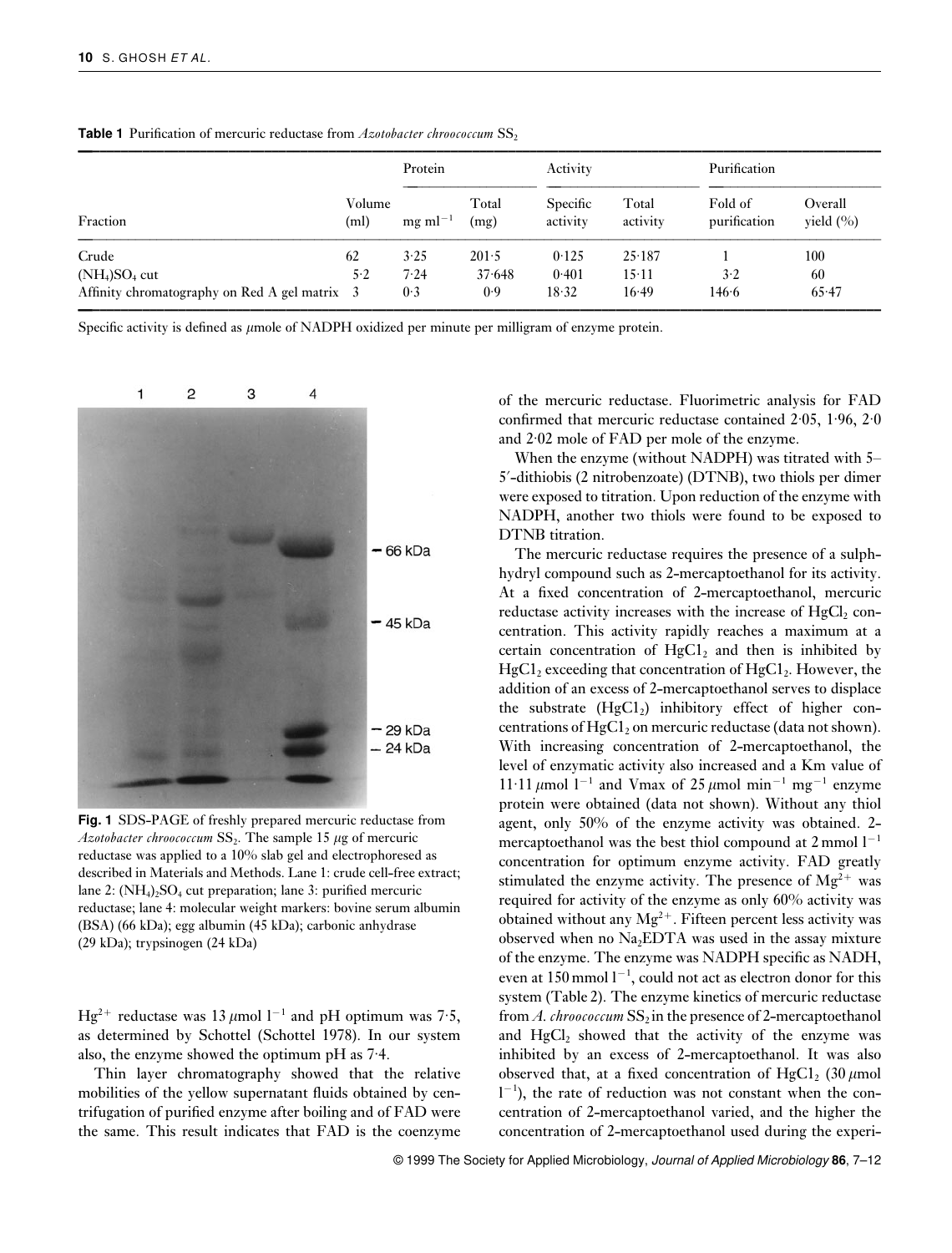| Fraction                                      | Volume<br>(ml) | Protein         |               | Activity             |                   | Purification            |                         |
|-----------------------------------------------|----------------|-----------------|---------------|----------------------|-------------------|-------------------------|-------------------------|
|                                               |                | $mg$ m $l^{-1}$ | Total<br>(mg) | Specific<br>activity | Total<br>activity | Fold of<br>purification | Overall<br>yield $(\%)$ |
| Crude                                         | 62             | 3.25            | 201.5         | 0.125                | 25.187            |                         | 100                     |
| $(NH_4)SO_4$ cut                              | 5.2            | 7.24            | 37.648        | 0.401                | $15 \cdot 11$     | 3.2                     | 60                      |
| Affinity chromatography on Red A gel matrix 3 |                | 0.3             | 0.9           | 18.32                | 16.49             | 146.6                   | 65.47                   |

**Table 1** Purification of mercuric reductase from *Azotobacter chroococcum* SS<sub>2</sub>

Specific activity is defined as  $\mu$ mole of NADPH oxidized per minute per milligram of enzyme protein.



**Fig. 1** SDS-PAGE of freshly prepared mercuric reductase from  $A$ zotobacter chroococcum  $SS_2$ . The sample 15  $\mu$ g of mercuric reductase was applied to a 10% slab gel and electrophoresed as described in Materials and Methods. Lane 1: crude cell-free extract; lane 2: (NH<sub>4</sub>)<sub>2</sub>SO<sub>4</sub> cut preparation; lane 3: purified mercuric reductase; lane 4: molecular weight markers: bovine serum albumin (BSA) (66 kDa); egg albumin (45 kDa); carbonic anhydrase (29 kDa); trypsinogen (24 kDa)

Hg<sup>2+</sup> reductase was 13 µmol l<sup>-1</sup> and pH optimum was 7·5, as determined by Schottel (Schottel 1978). In our system also, the enzyme showed the optimum pH as 7·4.

Thin layer chromatography showed that the relative mobilities of the yellow supernatant fluids obtained by centrifugation of purified enzyme after boiling and of FAD were the same. This result indicates that FAD is the coenzyme

of the mercuric reductase. Fluorimetric analysis for FAD confirmed that mercuric reductase contained 2·05, 1·96, 2·0 and 2·02 mole of FAD per mole of the enzyme.

When the enzyme (without NADPH) was titrated with 5– 5?-dithiobis (2 nitrobenzoate) (DTNB), two thiols per dimer were exposed to titration. Upon reduction of the enzyme with NADPH, another two thiols were found to be exposed to DTNB titration.

The mercuric reductase requires the presence of a sulphhydryl compound such as 2-mercaptoethanol for its activity. At a fixed concentration of 2-mercaptoethanol, mercuric reductase activity increases with the increase of  $HgCl<sub>2</sub>$  concentration. This activity rapidly reaches a maximum at a certain concentration of  $HgCl<sub>2</sub>$  and then is inhibited by  $HgCl<sub>2</sub>$  exceeding that concentration of  $HgCl<sub>2</sub>$ . However, the addition of an excess of 2-mercaptoethanol serves to displace the substrate  $(HgCl<sub>2</sub>)$  inhibitory effect of higher concentrations of  $HgCl<sub>2</sub>$  on mercuric reductase (data not shown). With increasing concentration of 2-mercaptoethanol, the level of enzymatic activity also increased and a Km value of 11·11 μmol 1<sup>-1</sup> and Vmax of 25 μmol min<sup>-1</sup> mg<sup>-1</sup> enzyme protein were obtained (data not shown). Without any thiol agent, only 50% of the enzyme activity was obtained. 2 mercaptoethanol was the best thiol compound at 2 mmol l<sup>−1</sup> concentration for optimum enzyme activity. FAD greatly stimulated the enzyme activity. The presence of  $Mg^{2+}$  was required for activity of the enzyme as only 60% activity was obtained without any  $Mg^{2+}$ . Fifteen percent less activity was observed when no  $Na<sub>2</sub>EDTA$  was used in the assay mixture of the enzyme. The enzyme was NADPH specific as NADH, even at 150 mmol l<sup>-1</sup>, could not act as electron donor for this system (Table 2). The enzyme kinetics of mercuric reductase from *A. chroococcum* SS<sub>2</sub> in the presence of 2-mercaptoethanol and  $HgCl<sub>2</sub>$  showed that the activity of the enzyme was inhibited by an excess of 2-mercaptoethanol. It was also observed that, at a fixed concentration of  $HgCl_2$  (30  $\mu$ mol  $1^{-1}$ ), the rate of reduction was not constant when the concentration of 2-mercaptoethanol varied, and the higher the concentration of 2-mercaptoethanol used during the experi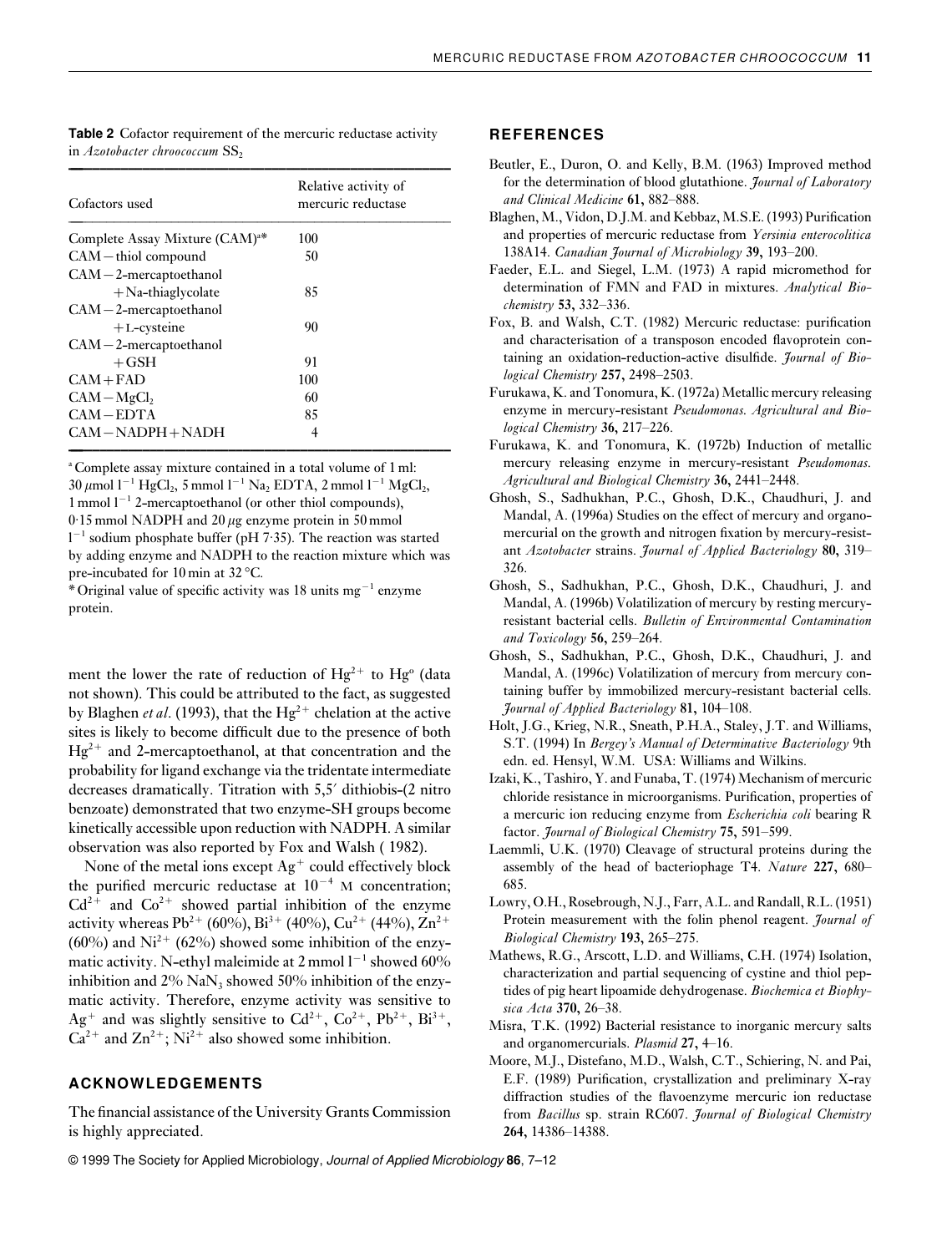**Table 2** Cofactor requirement of the mercuric reductase activity in *Azotobacter chroococcum* SS<sub>2</sub> **—–––––––––––––––––––––––––––––––––––––––––––––––––––––**

| Cofactors used                             | Relative activity of<br>mercuric reductase |  |  |
|--------------------------------------------|--------------------------------------------|--|--|
| Complete Assay Mixture (CAM) <sup>a*</sup> | 100                                        |  |  |
| $CAM -thiol$ compound                      | 50                                         |  |  |
| $CAM-2-mercaptoethanol$                    |                                            |  |  |
| $+$ Na-thiaglycolate                       | 85                                         |  |  |
| $CAM-2-mercaptoethanol$                    |                                            |  |  |
| $+L$ -cysteine                             | 90                                         |  |  |
| $CAM-2-mercaptoethanol$                    |                                            |  |  |
| $+$ GSH                                    | 91                                         |  |  |
| $CAM + FAD$                                | 100                                        |  |  |
| $CAM-MgCl2$                                | 60                                         |  |  |
| $CAM-EDTA$                                 | 85                                         |  |  |
| CAM-NADPH+NADH                             | 4                                          |  |  |

<sup>a</sup> Complete assay mixture contained in a total volume of 1 ml: 30 μmol 1<sup>-1</sup> HgCl<sub>2</sub>, 5 mmol 1<sup>-1</sup> Na<sub>2</sub> EDTA, 2 mmol 1<sup>-1</sup> MgCl<sub>2</sub>, 1 mmol l<sup>−</sup><sup>1</sup> 2-mercaptoethanol (or other thiol compounds),  $0.15$  mmol NADPH and 20  $\mu$ g enzyme protein in 50 mmol l −1 sodium phosphate buffer (pH 7·35). The reaction was started by adding enzyme and NADPH to the reaction mixture which was pre-incubated for 10 min at 32 °C.

\* Original value of specific activity was 18 units mg<sup>−</sup><sup>1</sup> enzyme protein.

ment the lower the rate of reduction of  $Hg^{2+}$  to  $Hg^0$  (data not shown). This could be attributed to the fact, as suggested by Blaghen *et al.* (1993), that the  $Hg^{2+}$  chelation at the active sites is likely to become difficult due to the presence of both  $Hg^{2+}$  and 2-mercaptoethanol, at that concentration and the probability for ligand exchange via the tridentate intermediate decreases dramatically. Titration with 5,5? dithiobis-(2 nitro benzoate) demonstrated that two enzyme-SH groups become kinetically accessible upon reduction with NADPH. A similar observation was also reported by Fox and Walsh ( 1982).

None of the metal ions except  $Ag^+$  could effectively block the purified mercuric reductase at  $10^{-4}$  M concentration;  $Cd^{2+}$  and  $Co^{2+}$  showed partial inhibition of the enzyme activity whereas Pb<sup>2+</sup> (60%), Bi<sup>3+</sup> (40%), Cu<sup>2+</sup> (44%), Zn<sup>2+</sup>  $(60\%)$  and Ni<sup>2+</sup>  $(62\%)$  showed some inhibition of the enzymatic activity. N-ethyl maleimide at 2 mmol l<sup>-1</sup> showed 60% inhibition and  $2\%$  NaN<sub>3</sub> showed 50% inhibition of the enzymatic activity. Therefore, enzyme activity was sensitive to  $Ag^+$  and was slightly sensitive to  $Cd^{2+}$ ,  $Co^{2+}$ ,  $Pb^{2+}$ ,  $Bi^{3+}$ ,  $Ca^{2+}$  and  $Zn^{2+}$ ; Ni<sup>2+</sup> also showed some inhibition.

## **ACKNOWLEDGEMENTS**

The financial assistance of the University Grants Commission is highly appreciated.

#### **REFERENCES**

- Beutler, E., Duron, O. and Kelly, B.M. (1963) Improved method for the determination of blood glutathione. *Journal of Laboratory and Clinical Medicine* **61,** 882–888.
- Blaghen, M., Vidon, D.J.M. and Kebbaz, M.S.E. (1993) Purification and properties of mercuric reductase from *Yersinia enterocolitica* 138A14. *Canadian Journal of Microbiology* **39,** 193–200.
- Faeder, E.L. and Siegel, L.M. (1973) A rapid micromethod for determination of FMN and FAD in mixtures. *Analytical Biochemistry* **53,** 332–336.
- Fox, B. and Walsh, C.T. (1982) Mercuric reductase: purification and characterisation of a transposon encoded flavoprotein containing an oxidation-reduction-active disulfide. *Journal of Biological Chemistry* **257,** 2498–2503.
- Furukawa, K. and Tonomura, K. (1972a) Metallic mercury releasing enzyme in mercury-resistant *Pseudomonas. Agricultural and Biological Chemistry* **36,** 217–226.
- Furukawa, K. and Tonomura, K. (1972b) Induction of metallic mercury releasing enzyme in mercury-resistant *Pseudomonas. Agricultural and Biological Chemistry* **36,** 2441–2448.
- Ghosh, S., Sadhukhan, P.C., Ghosh, D.K., Chaudhuri, J. and Mandal, A. (1996a) Studies on the effect of mercury and organomercurial on the growth and nitrogen fixation by mercury-resistant *Azotobacter* strains. *Journal of Applied Bacteriology* **80,** 319– 326.
- Ghosh, S., Sadhukhan, P.C., Ghosh, D.K., Chaudhuri, J. and Mandal, A. (1996b) Volatilization of mercury by resting mercuryresistant bacterial cells. *Bulletin of Environmental Contamination and Toxicology* **56,** 259–264.
- Ghosh, S., Sadhukhan, P.C., Ghosh, D.K., Chaudhuri, J. and Mandal, A. (1996c) Volatilization of mercury from mercury containing buffer by immobilized mercury-resistant bacterial cells. *Journal of Applied Bacteriology* **81,** 104–108.
- Holt, J.G., Krieg, N.R., Sneath, P.H.A., Staley, J.T. and Williams, S.T. (1994) In *Bergey's Manual of Determinative Bacteriology* 9th edn. ed. Hensyl, W.M. USA: Williams and Wilkins.
- Izaki, K., Tashiro, Y. and Funaba, T. (1974) Mechanism of mercuric chloride resistance in microorganisms. Purification, properties of a mercuric ion reducing enzyme from *Escherichia coli* bearing R factor. *Journal of Biological Chemistry* **75,** 591–599.
- Laemmli, U.K. (1970) Cleavage of structural proteins during the assembly of the head of bacteriophage T4. *Nature* **227,** 680– 685.
- Lowry, O.H., Rosebrough, N.J., Farr, A.L. and Randall, R.L. (1951) Protein measurement with the folin phenol reagent. *Journal of Biological Chemistry* **193,** 265–275.
- Mathews, R.G., Arscott, L.D. and Williams, C.H. (1974) Isolation, characterization and partial sequencing of cystine and thiol peptides of pig heart lipoamide dehydrogenase. *Biochemica et Biophysica Acta* **370,** 26–38.
- Misra, T.K. (1992) Bacterial resistance to inorganic mercury salts and organomercurials. *Plasmid* **27,** 4–16.
- Moore, M.J., Distefano, M.D., Walsh, C.T., Schiering, N. and Pai, E.F. (1989) Purification, crystallization and preliminary X-ray diffraction studies of the flavoenzyme mercuric ion reductase from *Bacillus* sp. strain RC607. *Journal of Biological Chemistry* **264,** 14386–14388.

© 1999 The Society for Applied Microbiology, Journal of Applied Microbiology **86**, 7–12